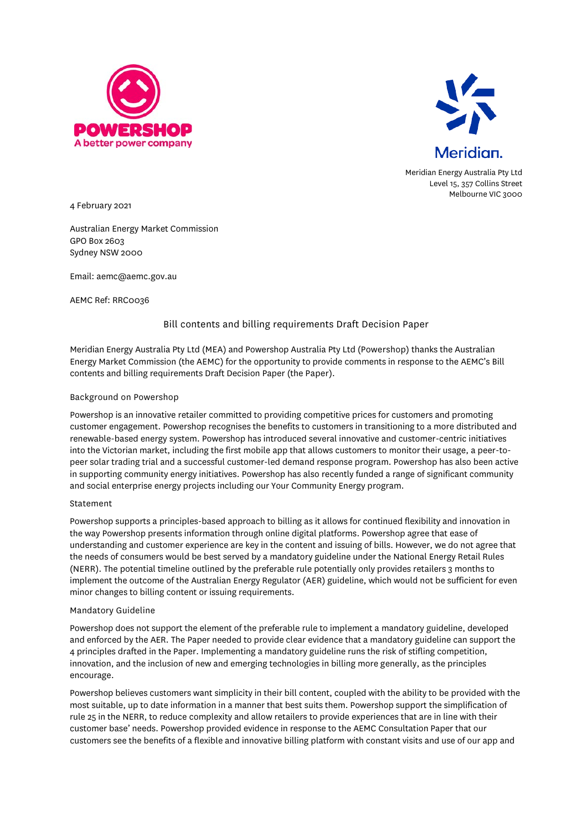



Meridian Energy Australia Pty Ltd Level 15, 357 Collins Street Melbourne VIC 3000

4 February 2021

Australian Energy Market Commission GPO Box 2603 Sydney NSW 2000

Email: aemc@aemc.gov.au

AEMC Ref: RRC0036

# Bill contents and billing requirements Draft Decision Paper

Meridian Energy Australia Pty Ltd (MEA) and Powershop Australia Pty Ltd (Powershop) thanks the Australian Energy Market Commission (the AEMC) for the opportunity to provide comments in response to the AEMC's Bill contents and billing requirements Draft Decision Paper (the Paper).

# Background on Powershop

Powershop is an innovative retailer committed to providing competitive prices for customers and promoting customer engagement. Powershop recognises the benefits to customers in transitioning to a more distributed and renewable-based energy system. Powershop has introduced several innovative and customer-centric initiatives into the Victorian market, including the first mobile app that allows customers to monitor their usage, a peer-topeer solar trading trial and a successful customer-led demand response program. Powershop has also been active in supporting community energy initiatives. Powershop has also recently funded a range of significant community and social enterprise energy projects including our Your Community Energy program.

### Statement

Powershop supports a principles-based approach to billing as it allows for continued flexibility and innovation in the way Powershop presents information through online digital platforms. Powershop agree that ease of understanding and customer experience are key in the content and issuing of bills. However, we do not agree that the needs of consumers would be best served by a mandatory guideline under the National Energy Retail Rules (NERR). The potential timeline outlined by the preferable rule potentially only provides retailers 3 months to implement the outcome of the Australian Energy Regulator (AER) guideline, which would not be sufficient for even minor changes to billing content or issuing requirements.

### Mandatory Guideline

Powershop does not support the element of the preferable rule to implement a mandatory guideline, developed and enforced by the AER. The Paper needed to provide clear evidence that a mandatory guideline can support the 4 principles drafted in the Paper. Implementing a mandatory guideline runs the risk of stifling competition, innovation, and the inclusion of new and emerging technologies in billing more generally, as the principles encourage.

Powershop believes customers want simplicity in their bill content, coupled with the ability to be provided with the most suitable, up to date information in a manner that best suits them. Powershop support the simplification of rule 25 in the NERR, to reduce complexity and allow retailers to provide experiences that are in line with their customer base' needs. Powershop provided evidence in response to the AEMC Consultation Paper that our customers see the benefits of a flexible and innovative billing platform with constant visits and use of our app and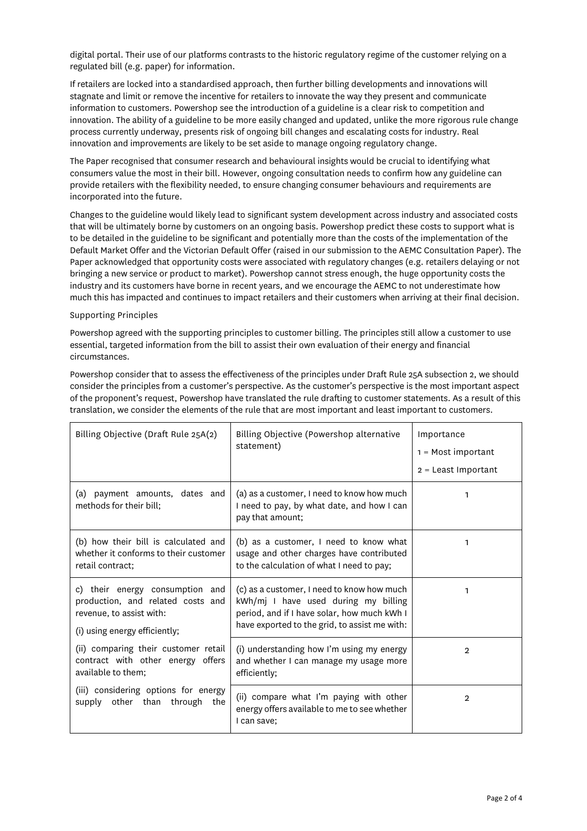digital portal. Their use of our platforms contrasts to the historic regulatory regime of the customer relying on a regulated bill (e.g. paper) for information.

If retailers are locked into a standardised approach, then further billing developments and innovations will stagnate and limit or remove the incentive for retailers to innovate the way they present and communicate information to customers. Powershop see the introduction of a guideline is a clear risk to competition and innovation. The ability of a guideline to be more easily changed and updated, unlike the more rigorous rule change process currently underway, presents risk of ongoing bill changes and escalating costs for industry. Real innovation and improvements are likely to be set aside to manage ongoing regulatory change.

The Paper recognised that consumer research and behavioural insights would be crucial to identifying what consumers value the most in their bill. However, ongoing consultation needs to confirm how any guideline can provide retailers with the flexibility needed, to ensure changing consumer behaviours and requirements are incorporated into the future.

Changes to the guideline would likely lead to significant system development across industry and associated costs that will be ultimately borne by customers on an ongoing basis. Powershop predict these costs to support what is to be detailed in the guideline to be significant and potentially more than the costs of the implementation of the Default Market Offer and the Victorian Default Offer (raised in our submission to the AEMC Consultation Paper). The Paper acknowledged that opportunity costs were associated with regulatory changes (e.g. retailers delaying or not bringing a new service or product to market). Powershop cannot stress enough, the huge opportunity costs the industry and its customers have borne in recent years, and we encourage the AEMC to not underestimate how much this has impacted and continues to impact retailers and their customers when arriving at their final decision.

# Supporting Principles

Powershop agreed with the supporting principles to customer billing. The principles still allow a customer to use essential, targeted information from the bill to assist their own evaluation of their energy and financial circumstances.

Powershop consider that to assess the effectiveness of the principles under Draft Rule 25A subsection 2, we should consider the principles from a customer's perspective. As the customer's perspective is the most important aspect of the proponent's request, Powershop have translated the rule drafting to customer statements. As a result of this translation, we consider the elements of the rule that are most important and least important to customers.

| Billing Objective (Draft Rule 25A(2)                                                                                              | Billing Objective (Powershop alternative<br>statement)                                                                                                                             | Importance<br>$1 = Most important$<br>$2$ = Least Important |
|-----------------------------------------------------------------------------------------------------------------------------------|------------------------------------------------------------------------------------------------------------------------------------------------------------------------------------|-------------------------------------------------------------|
| (a)<br>payment amounts, dates and<br>methods for their bill:                                                                      | (a) as a customer, I need to know how much<br>I need to pay, by what date, and how I can<br>pay that amount;                                                                       | 1                                                           |
| (b) how their bill is calculated and<br>whether it conforms to their customer<br>retail contract:                                 | (b) as a customer, I need to know what<br>usage and other charges have contributed<br>to the calculation of what I need to pay;                                                    | 1                                                           |
| c) their energy consumption and<br>production, and related costs and<br>revenue, to assist with:<br>(i) using energy efficiently; | (c) as a customer, I need to know how much<br>kWh/mj I have used during my billing<br>period, and if I have solar, how much kWh I<br>have exported to the grid, to assist me with: | 1                                                           |
| (ii) comparing their customer retail<br>contract with other energy offers<br>available to them;                                   | (i) understanding how I'm using my energy<br>and whether I can manage my usage more<br>efficiently;                                                                                | $\overline{2}$                                              |
| (iii) considering options for energy<br>supply other than through<br>the                                                          | (ii) compare what I'm paying with other<br>energy offers available to me to see whether<br>I can save;                                                                             | $\overline{2}$                                              |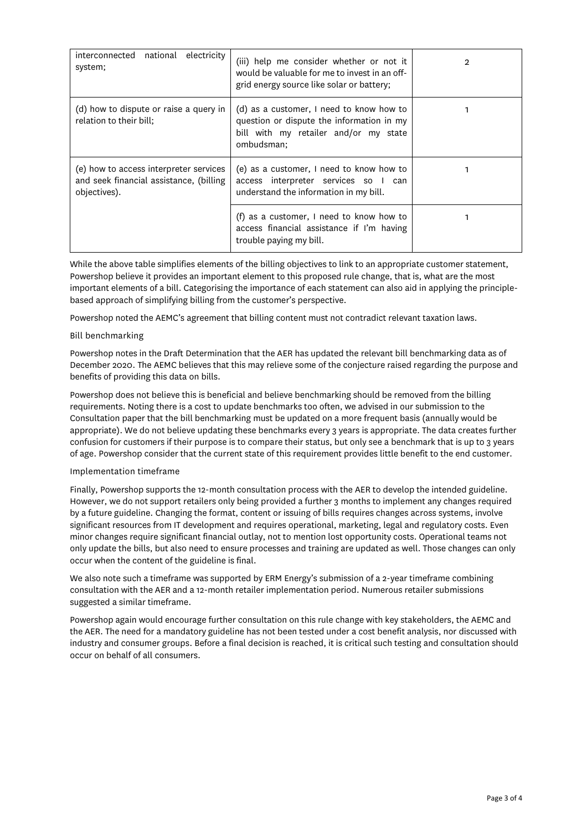| interconnected national electricity<br>system;                                                    | (iii) help me consider whether or not it<br>would be valuable for me to invest in an off-<br>grid energy source like solar or battery;       |  |
|---------------------------------------------------------------------------------------------------|----------------------------------------------------------------------------------------------------------------------------------------------|--|
| (d) how to dispute or raise a query in<br>relation to their bill;                                 | (d) as a customer, I need to know how to<br>question or dispute the information in my<br>bill with my retailer and/or my state<br>ombudsman; |  |
| (e) how to access interpreter services<br>and seek financial assistance, (billing<br>objectives). | (e) as a customer, I need to know how to<br>access interpreter services so I can<br>understand the information in my bill.                   |  |
|                                                                                                   | (f) as a customer, I need to know how to<br>access financial assistance if I'm having<br>trouble paying my bill.                             |  |

While the above table simplifies elements of the billing objectives to link to an appropriate customer statement, Powershop believe it provides an important element to this proposed rule change, that is, what are the most important elements of a bill. Categorising the importance of each statement can also aid in applying the principlebased approach of simplifying billing from the customer's perspective.

Powershop noted the AEMC's agreement that billing content must not contradict relevant taxation laws.

# Bill benchmarking

Powershop notes in the Draft Determination that the AER has updated the relevant bill benchmarking data as of December 2020. The AEMC believes that this may relieve some of the conjecture raised regarding the purpose and benefits of providing this data on bills.

Powershop does not believe this is beneficial and believe benchmarking should be removed from the billing requirements. Noting there is a cost to update benchmarks too often, we advised in our submission to the Consultation paper that the bill benchmarking must be updated on a more frequent basis (annually would be appropriate). We do not believe updating these benchmarks every 3 years is appropriate. The data creates further confusion for customers if their purpose is to compare their status, but only see a benchmark that is up to 3 years of age. Powershop consider that the current state of this requirement provides little benefit to the end customer.

### Implementation timeframe

Finally, Powershop supports the 12-month consultation process with the AER to develop the intended guideline. However, we do not support retailers only being provided a further 3 months to implement any changes required by a future guideline. Changing the format, content or issuing of bills requires changes across systems, involve significant resources from IT development and requires operational, marketing, legal and regulatory costs. Even minor changes require significant financial outlay, not to mention lost opportunity costs. Operational teams not only update the bills, but also need to ensure processes and training are updated as well. Those changes can only occur when the content of the guideline is final.

We also note such a timeframe was supported by ERM Energy's submission of a 2-year timeframe combining consultation with the AER and a 12-month retailer implementation period. Numerous retailer submissions suggested a similar timeframe.

Powershop again would encourage further consultation on this rule change with key stakeholders, the AEMC and the AER. The need for a mandatory guideline has not been tested under a cost benefit analysis, nor discussed with industry and consumer groups. Before a final decision is reached, it is critical such testing and consultation should occur on behalf of all consumers.